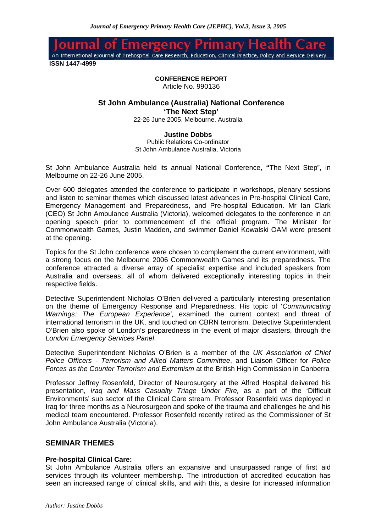юî enc An International eJournal of Prehospital Care Research, Education, Clinical Practice, Policy and Service Delivery

 **ISSN 1447-4999**

**CONFERENCE REPORT**

Article No. 990136

# **St John Ambulance (Australia) National Conference 'The Next Step'**

22-26 June 2005, Melbourne, Australia

# **Justine Dobbs**

Public Relations Co-ordinator St John Ambulance Australia, Victoria

St John Ambulance Australia held its annual National Conference, **"**The Next Step", in Melbourne on 22-26 June 2005.

Over 600 delegates attended the conference to participate in workshops, plenary sessions and listen to seminar themes which discussed latest advances in Pre-hospital Clinical Care, Emergency Management and Preparedness, and Pre-hospital Education. Mr Ian Clark (CEO) St John Ambulance Australia (Victoria), welcomed delegates to the conference in an opening speech prior to commencement of the official program. The Minister for Commonwealth Games, Justin Madden, and swimmer Daniel Kowalski OAM were present at the opening.

Topics for the St John conference were chosen to complement the current environment, with a strong focus on the Melbourne 2006 Commonwealth Games and its preparedness. The conference attracted a diverse array of specialist expertise and included speakers from Australia and overseas, all of whom delivered exceptionally interesting topics in their respective fields.

Detective Superintendent Nicholas O'Brien delivered a particularly interesting presentation on the theme of Emergency Response and Preparedness. His topic of '*Communicating Warnings: The European Experience'*, examined the current context and threat of international terrorism in the UK, and touched on CBRN terrorism. Detective Superintendent O'Brien also spoke of London's preparedness in the event of major disasters, through the *London Emergency Services Panel*.

Detective Superintendent Nicholas O'Brien is a member of the *UK Association of Chief Police Officers - Terrorism and Allied Matters Committee*, and Liaison Officer for *Police Forces as the Counter Terrorism and Extremism* at the British High Commission in Canberra

Professor Jeffrey Rosenfeld, Director of Neurosurgery at the Alfred Hospital delivered his presentation, *Iraq and Mass Casualty Triage Under Fire,* as a part of the 'Difficult Environments' sub sector of the Clinical Care stream. Professor Rosenfeld was deployed in Iraq for three months as a Neurosurgeon and spoke of the trauma and challenges he and his medical team encountered. Professor Rosenfeld recently retired as the Commissioner of St John Ambulance Australia (Victoria).

# **SEMINAR THEMES**

## **Pre-hospital Clinical Care:**

St John Ambulance Australia offers an expansive and unsurpassed range of first aid services through its volunteer membership. The introduction of accredited education has seen an increased range of clinical skills, and with this, a desire for increased information